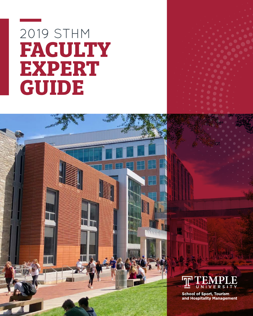# 2019 STHM **FACULTY EXPERT GUIDE**





**School of Sport, Tourism** and Hospitality Management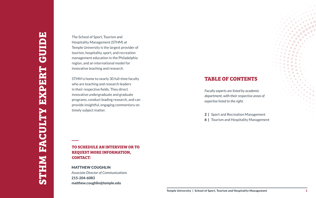# **TABLE OF CONTENTS**

## **TO SCHEDULE AN INTERVIEW OR TO REQUEST MORE INFORMATION, CONTACT:**

The School of Sport, Tourism and Hospitality Management (STHM) at Temple University is the largest provider of tourism, hospitality, sport, and recreation management education in the Philadelphia region, and an international model for innovative teaching and research.

STHM is home to nearly 30 full-time faculty who are teaching and research leaders in their respective fields. They direct innovative undergraduate and graduate programs, conduct leading research, and can provide insightful, engaging commentary on timely subject matter.



*Faculty experts are listed by academic department, with their respective areas of expertise listed to the right.*

2 | Sport and Recreation Management

**6** | Tourism and Hospitality Management

MATTHEW COUGHLIN *Associate Director of Communications* 215-204-6083 matthew.coughlin@temple.edu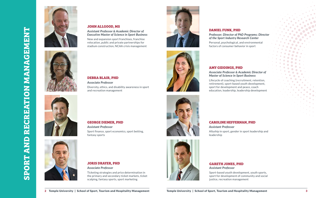### **JOHN ALLGOOD, MS**

*Assistant Professor & Academic Director of Executive Master of Science in Sport Business*

New and expansion sport franchises, franchise relocation, public and private partnerships for stadium construction, NCAA crisis management

### **DANIEL FUNK, PHD**

*Professor; Director of PhD Programs; Director of the Sport Industry Research Center*

Personal, psychological, and environmental factors of consumer behavior in sport

### **DEBRA BLAIR, PHD**

*Associate Professor* Diversity, ethics, and disability awareness in sport and recreation management

### **GEORGE DIEMER, PHD**

*Assistant Professor* Sport finance, sport economics, sport betting, fantasy sports

### **JORIS DRAYER, PHD**

### *Associate Professor*

Ticketing strategies and price determination in the primary and secondary ticket markets, ticket scalping, fantasy sports, sport marketing









### **AMY GIDDINGS, PHD**

### *Associate Professor & Academic Director of Master of Science in Sport Business*

Lifecycle of coaching (recruitment, retention, retirement), sport-based youth development, sport for development and peace, coach education, leadership, leadership development

### **CAROLINE HEFFERNAN, PHD**

*Assistant Professor* Allyship in sport, gender in sport leadership and leadership







**SPORT AND RECREATION MANAGEMENT**

**SPORT AND** 

**RECREATION MANAGEMENT** 



### **GARETH JONES, PHD** *Assistant Professor*

Sport-based youth development, youth sports, sport for development of community and social justice, recreation management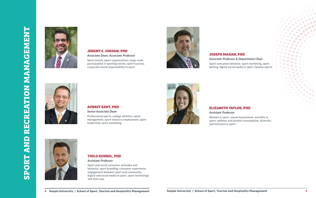

### **JEREMY S. JORDAN, PHD** *Associate Dean; Associate Professor*

Sport events, sport organizations, large-scale participation in sporting events, sport tourism, corporate social responsibility in sport

### **AUBREY KENT, PHD**

*Senior Associate Dean* Professional sports, college athletics, sport management, sport industry employment, sport leadership, sport marketing



### **THILO KUNKEL, PHD**

*Assistant Professor*

Sport and event consumer attitudes and behavior, sport branding, consumer experience, engagement between sport and community, digital and social media in sport, sport technology and start-ups



**JOSEPH MAHAN, PHD** *Associate Professor & Department Chair* Sport consumer behavior, sport marketing, sport betting, digital social media in sport, fantasy sports



### **ELIZABETH TAYLOR, PHD**

*Assistant Professor*

Women in sport, sexual harassment, incivility in sport, athletes and alcohol consumption, diversity and inclusion in sport

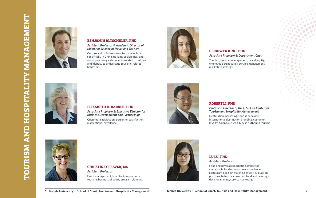### **BENJAMIN ALTSCHULER, PHD**

*Assistant Professor & Academic Director of Master of Science in Travel and Tourism*

Culture and its influence on tourism in Asia, specifically in China, utilizing sociological and social psychological concepts related to culture and identity to understand touristic-related behaviors



### **CERIDWYN KING, PHD**

*Associate Professor & Department Chair*

Tourism, services management, brand equity, employee perspectives, service management, marketing strategy



### **ELIZABETH H. BARBER, PHD**

*Associate Professor & Executive Director for Business Development and Partnerships*



Customer satisfaction, personnel satisfaction, instructional excellence



### **ROBERT LI, PHD**

*Professor; Director of the U.S.-Asia Center for Tourism and Hospitality Management*

Destination marketing, tourist behavior, international destination branding, customer loyalty, Asian tourism, Chinese outbound tourism

### **CHRISTINE CLEAVER, MS**

*Assistant Professor* Event management, hospitality operations, tourism, business of sport, program planning



### **LU LU, PHD** *Assistant Professor*

Food and beverage marketing, impact of sustainable food on consumer experience, restaurant decision making, sensory evaluation, purchase behavior, consumer food and beverage decision making, service marketing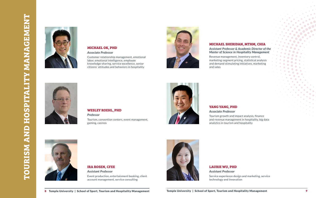### **MICHAEL OK, PHD**

*Associate Professor*

Customer relationship management, emotional labor, emotional intelligence, employee knowledge-sharing, service excellence, senior citizens' attitudes and behaviors in hospitality



### **MICHAEL SHERIDAN, MTHM, CHIA**

*Assistant Professor & Academic Director of the Master of Science in Hospitality Management*

Revenue management, inventory control, marketing-segment pricing, statistical analysis and demand stimulating initiatives, marketing and sales





### **WESLEY ROEHL, PHD**

*Professor*

Tourism, convention centers, event management, gaming, casinos



### **YANG YANG, PHD**

*Associate Professor*

Tourism growth and impact analysis, finance and revenue management in hospitality, big data analytics in tourism and hospitality



### **IRA ROSEN, CFEE** *Assistant Professor*

Event production, entertainment booking, client account management, service consulting



### **LAURIE WU, PHD** *Assistant Professor*

Service experience design and marketing, service technology and innovation